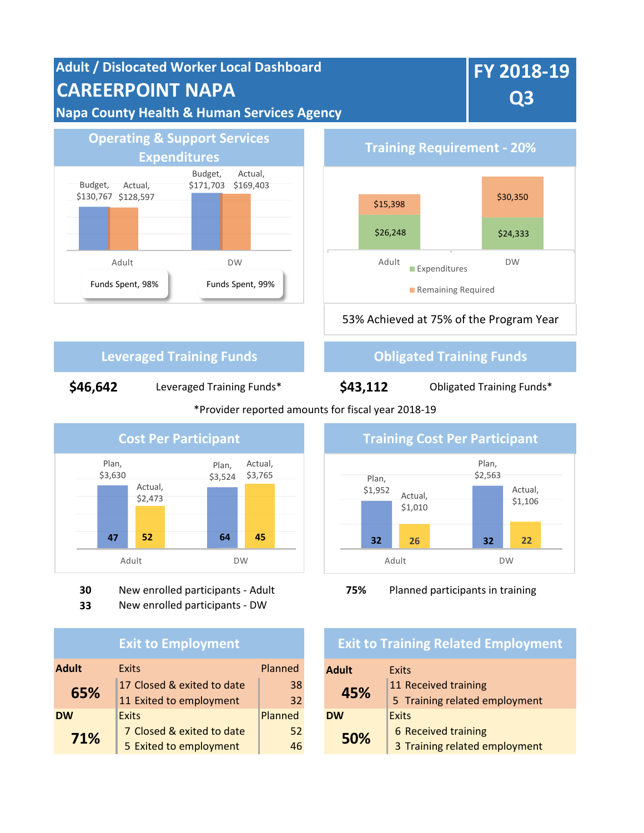# **Adult / Dislocated Worker Local Dashboard CAREERPOINT NAPA Napa County Health & Human Services Agency**



**FY 2018-19** 

**Q3**



## **Leveraged Training Funds Construction Construction Construction Construction Construction Construction Construction Construction Construction Construction Construction Construction Construction Construction Construction**

**\$46,642** Leveraged Training Funds\*

## **\$43,112**

Obligated Training Funds\*

### \*Provider reported amounts for fiscal year 2018-19



**30** New enrolled participants - Adult **75%** Planned participants in training

**33** New enrolled participants - DW

## **Exit to Employment**

| <b>Adult</b> | <b>Exits</b>               | Planned |  | <b>Adult</b> | Exits                         |
|--------------|----------------------------|---------|--|--------------|-------------------------------|
| 65%          | 17 Closed & exited to date | 38      |  | 45%          | 11 Received training          |
|              | 11 Exited to employment    | 32      |  |              | 5 Training related employment |
| <b>DW</b>    | <b>Exits</b>               | Planned |  | <b>DW</b>    | Exits                         |
| 71%          | 7 Closed & exited to date  | 52      |  | 50%          | 6 Received training           |
|              | 5 Exited to employment     | 46      |  |              | 3 Training related employment |



## **Exit to Training Related Employment**

| <b>Adult</b> | Exits                         |  |  |
|--------------|-------------------------------|--|--|
| 45%          | 11 Received training          |  |  |
|              | 5 Training related employment |  |  |
| <b>DW</b>    | Exits                         |  |  |
| 50%          | 6 Received training           |  |  |
|              | 3 Training related employment |  |  |